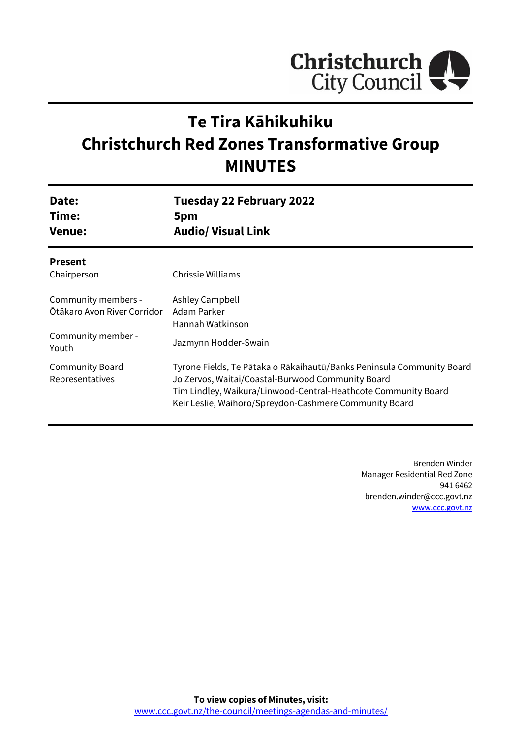

# **Te Tira Kāhikuhiku Christchurch Red Zones Transformative Group MINUTES**

| Date:                                     | <b>Tuesday 22 February 2022</b>                                                                                                                                                                                                                        |
|-------------------------------------------|--------------------------------------------------------------------------------------------------------------------------------------------------------------------------------------------------------------------------------------------------------|
| Time:                                     | 5pm                                                                                                                                                                                                                                                    |
| <b>Venue:</b>                             | <b>Audio/ Visual Link</b>                                                                                                                                                                                                                              |
| <b>Present</b><br>Chairperson             | Chrissie Williams                                                                                                                                                                                                                                      |
| Community members -                       | Ashley Campbell                                                                                                                                                                                                                                        |
| Ōtākaro Avon River Corridor               | Adam Parker                                                                                                                                                                                                                                            |
| Community member -                        | Hannah Watkinson                                                                                                                                                                                                                                       |
| Youth                                     | Jazmynn Hodder-Swain                                                                                                                                                                                                                                   |
| <b>Community Board</b><br>Representatives | Tyrone Fields, Te Pātaka o Rākaihautū/Banks Peninsula Community Board<br>Jo Zervos, Waitai/Coastal-Burwood Community Board<br>Tim Lindley, Waikura/Linwood-Central-Heathcote Community Board<br>Keir Leslie, Waihoro/Spreydon-Cashmere Community Board |

Brenden Winder Manager Residential Red Zone 941 6462 brenden.winder@ccc.govt.nz [www.ccc.govt.nz](http://www.ccc.govt.nz/)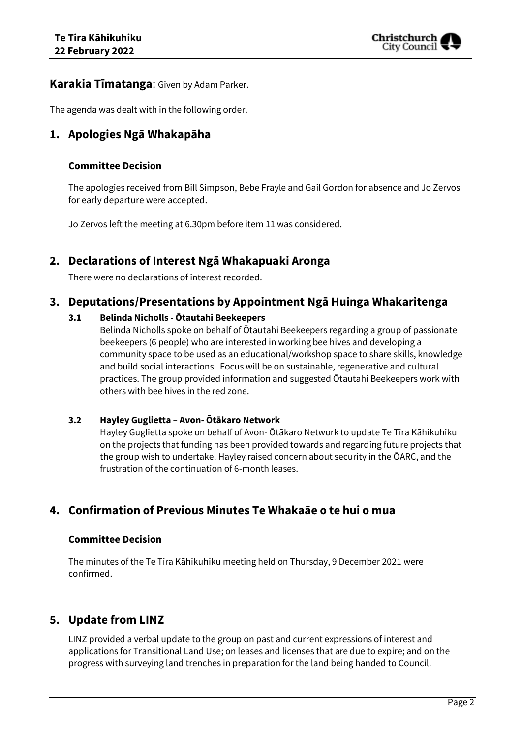

### **Karakia Tīmatanga**: Given by Adam Parker.

The agenda was dealt with in the following order.

# **1. Apologies Ngā Whakapāha**

#### **Committee Decision**

The apologies received from Bill Simpson, Bebe Frayle and Gail Gordon for absence and Jo Zervos for early departure were accepted.

Jo Zervos left the meeting at 6.30pm before item 11 was considered.

# **2. Declarations of Interest Ngā Whakapuaki Aronga**

There were no declarations of interest recorded.

# **3. Deputations/Presentations by Appointment Ngā Huinga Whakaritenga**

#### **3.1 Belinda Nicholls - Ōtautahi Beekeepers**

Belinda Nicholls spoke on behalf of Ōtautahi Beekeepers regarding a group of passionate beekeepers (6 people) who are interested in working bee hives and developing a community space to be used as an educational/workshop space to share skills, knowledge and build social interactions. Focus will be on sustainable, regenerative and cultural practices. The group provided information and suggested Ōtautahi Beekeepers work with others with bee hives in the red zone.

#### **3.2 Hayley Guglietta – Avon- Ōtākaro Network**

Hayley Guglietta spoke on behalf of Avon- Ōtākaro Network to update Te Tira Kāhikuhiku on the projects that funding has been provided towards and regarding future projects that the group wish to undertake. Hayley raised concern about security in the ŌARC, and the frustration of the continuation of 6-month leases.

# **4. Confirmation of Previous Minutes Te Whakaāe o te hui o mua**

#### **Committee Decision**

The minutes of the Te Tira Kāhikuhiku meeting held on Thursday, 9 December 2021 were confirmed.

# **5. Update from LINZ**

LINZ provided a verbal update to the group on past and current expressions of interest and applications for Transitional Land Use; on leases and licenses that are due to expire; and on the progress with surveying land trenches in preparation for the land being handed to Council.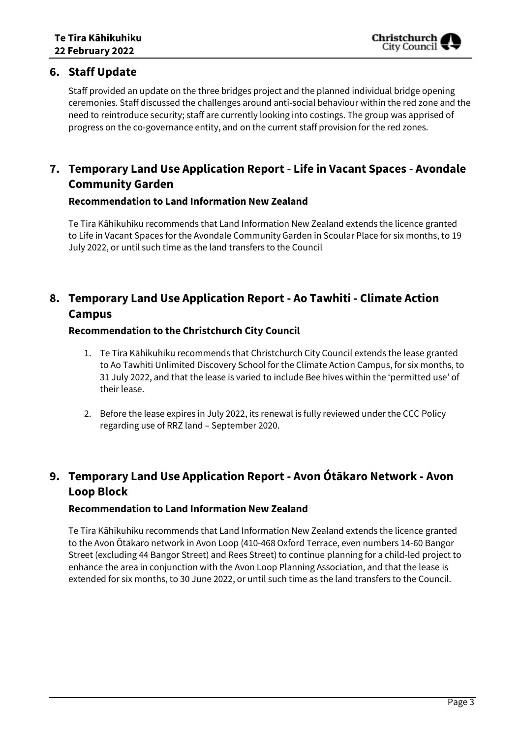# **6. Staff Update**

Staff provided an update on the three bridges project and the planned individual bridge opening ceremonies. Staff discussed the challenges around anti-social behaviour within the red zone and the need to reintroduce security; staff are currently looking into costings. The group was apprised of progress on the co-governance entity, and on the current staff provision for the red zones.

# **7. Temporary Land Use Application Report - Life in Vacant Spaces - Avondale Community Garden**

### **Recommendation to Land Information New Zealand**

Te Tira Kāhikuhiku recommends that Land Information New Zealand extends the licence granted to Life in Vacant Spaces for the Avondale Community Garden in Scoular Place for six months, to 19 July 2022, or until such time as the land transfers to the Council

# **8. Temporary Land Use Application Report - Ao Tawhiti - Climate Action Campus**

### **Recommendation to the Christchurch City Council**

- 1. Te Tira Kāhikuhiku recommends that Christchurch City Council extends the lease granted to Ao Tawhiti Unlimited Discovery School for the Climate Action Campus, for six months, to 31 July 2022, and that the lease is varied to include Bee hives within the 'permitted use' of their lease.
- 2. Before the lease expires in July 2022, its renewal is fully reviewed under the CCC Policy regarding use of RRZ land – September 2020.

# **9. Temporary Land Use Application Report - Avon Ótākaro Network - Avon Loop Block**

### **Recommendation to Land Information New Zealand**

Te Tira Kāhikuhiku recommends that Land Information New Zealand extends the licence granted to the Avon Ōtākaro network in Avon Loop (410-468 Oxford Terrace, even numbers 14-60 Bangor Street (excluding 44 Bangor Street) and Rees Street) to continue planning for a child-led project to enhance the area in conjunction with the Avon Loop Planning Association, and that the lease is extended for six months, to 30 June 2022, or until such time as the land transfers to the Council.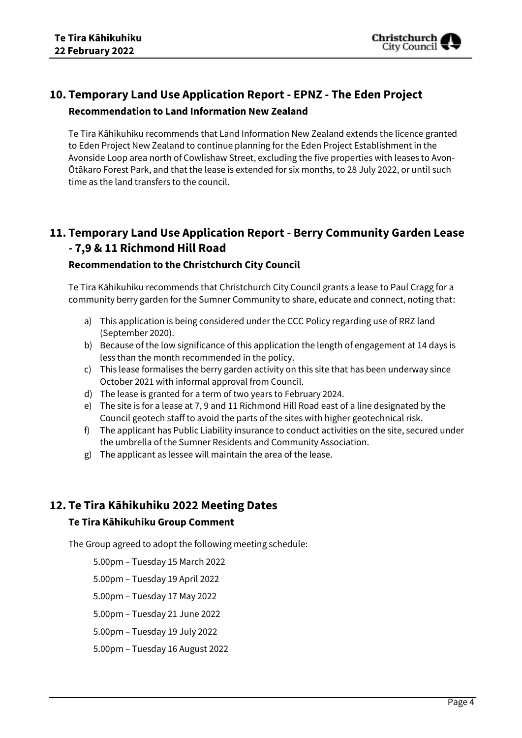

# **10. Temporary Land Use Application Report - EPNZ - The Eden Project Recommendation to Land Information New Zealand**

Te Tira Kāhikuhiku recommends that Land Information New Zealand extends the licence granted to Eden Project New Zealand to continue planning for the Eden Project Establishment in the Avonside Loop area north of Cowlishaw Street, excluding the five properties with leases to Avon-Ōtākaro Forest Park, and that the lease is extended for six months, to 28 July 2022, or until such time as the land transfers to the council.

# **11. Temporary Land Use Application Report - Berry Community Garden Lease - 7,9 & 11 Richmond Hill Road**

### **Recommendation to the Christchurch City Council**

Te Tira Kāhikuhiku recommends that Christchurch City Council grants a lease to Paul Cragg for a community berry garden for the Sumner Community to share, educate and connect, noting that:

- a) This application is being considered under the CCC Policy regarding use of RRZ land (September 2020).
- b) Because of the low significance of this application the length of engagement at 14 days is less than the month recommended in the policy.
- c) This lease formalises the berry garden activity on this site that has been underway since October 2021 with informal approval from Council.
- d) The lease is granted for a term of two years to February 2024.
- e) The site is for a lease at 7, 9 and 11 Richmond Hill Road east of a line designated by the Council geotech staff to avoid the parts of the sites with higher geotechnical risk.
- f) The applicant has Public Liability insurance to conduct activities on the site, secured under the umbrella of the Sumner Residents and Community Association.
- g) The applicant as lessee will maintain the area of the lease.

# **12. Te Tira Kāhikuhiku 2022 Meeting Dates**

### **Te Tira Kāhikuhiku Group Comment**

The Group agreed to adopt the following meeting schedule:

- 5.00pm Tuesday 15 March 2022
- 5.00pm Tuesday 19 April 2022
- 5.00pm Tuesday 17 May 2022
- 5.00pm Tuesday 21 June 2022
- 5.00pm Tuesday 19 July 2022
- 5.00pm Tuesday 16 August 2022